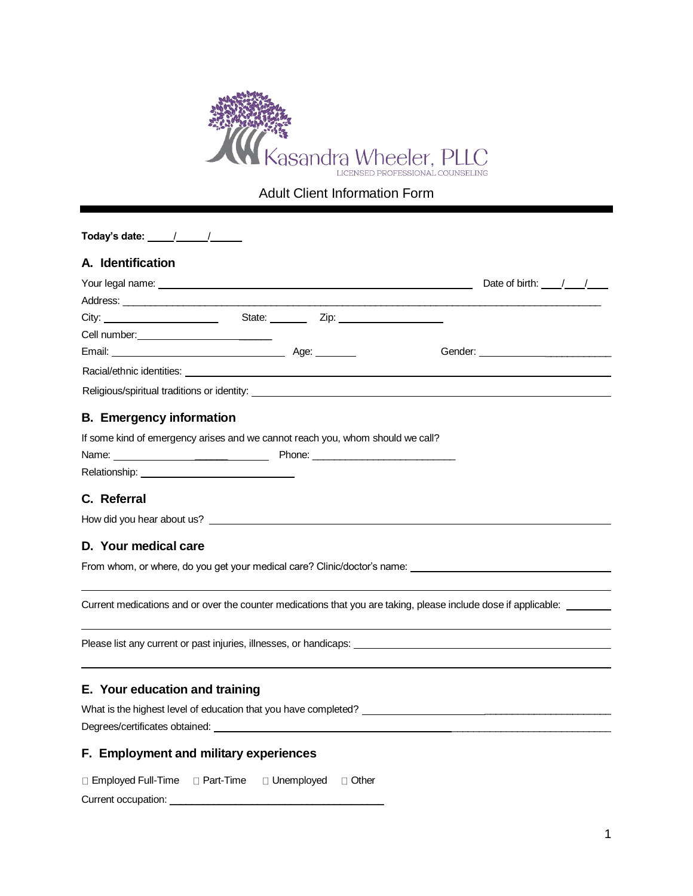

Adult Client Information Form

| Today's date: $\frac{\sqrt{2}}{2}$                                                                                        |  |  |  |
|---------------------------------------------------------------------------------------------------------------------------|--|--|--|
| A. Identification                                                                                                         |  |  |  |
|                                                                                                                           |  |  |  |
|                                                                                                                           |  |  |  |
|                                                                                                                           |  |  |  |
|                                                                                                                           |  |  |  |
|                                                                                                                           |  |  |  |
|                                                                                                                           |  |  |  |
|                                                                                                                           |  |  |  |
| <b>B.</b> Emergency information                                                                                           |  |  |  |
| If some kind of emergency arises and we cannot reach you, whom should we call?                                            |  |  |  |
|                                                                                                                           |  |  |  |
|                                                                                                                           |  |  |  |
| C. Referral                                                                                                               |  |  |  |
|                                                                                                                           |  |  |  |
|                                                                                                                           |  |  |  |
| D. Your medical care                                                                                                      |  |  |  |
| From whom, or where, do you get your medical care? Clinic/doctor's name: <b>From whom, and the control of the control</b> |  |  |  |
|                                                                                                                           |  |  |  |
| Current medications and or over the counter medications that you are taking, please include dose if applicable: ______    |  |  |  |
|                                                                                                                           |  |  |  |
| Please list any current or past injuries, illnesses, or handicaps:                                                        |  |  |  |
|                                                                                                                           |  |  |  |
| E. Your education and training                                                                                            |  |  |  |
|                                                                                                                           |  |  |  |
|                                                                                                                           |  |  |  |
|                                                                                                                           |  |  |  |
| F. Employment and military experiences                                                                                    |  |  |  |

 $\Box$  Employed Full-Time  $\Box$  Part-Time  $\Box$  Unemployed  $\Box$  Other Current occupation: \_\_\_\_\_\_\_\_\_\_\_\_\_\_\_\_\_\_\_\_\_\_\_\_\_\_\_\_\_\_\_\_\_\_\_\_\_\_\_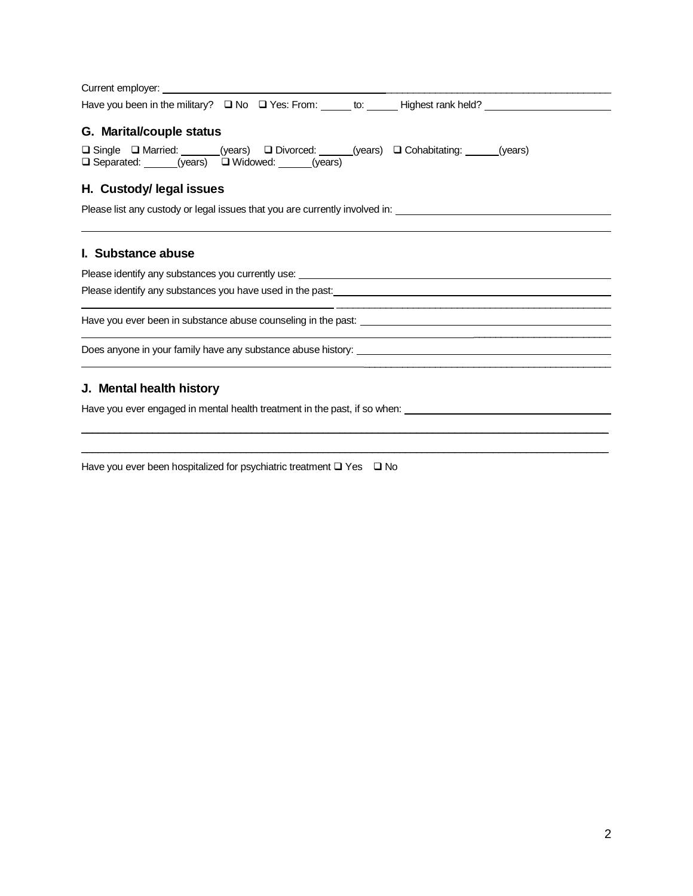| G. Marital/couple status                                                                                                                                                                                                       |  |  |  |  |  |  |
|--------------------------------------------------------------------------------------------------------------------------------------------------------------------------------------------------------------------------------|--|--|--|--|--|--|
| □ Single □ Married: ___ (years) □ Divorced: _____(years) □ Cohabitating: _____(years)<br>□ Separated: ______(years) □ Widowed: _____(years)                                                                                    |  |  |  |  |  |  |
| H. Custody/legal issues                                                                                                                                                                                                        |  |  |  |  |  |  |
| Please list any custody or legal issues that you are currently involved in: ________________________                                                                                                                           |  |  |  |  |  |  |
|                                                                                                                                                                                                                                |  |  |  |  |  |  |
| I. Substance abuse                                                                                                                                                                                                             |  |  |  |  |  |  |
|                                                                                                                                                                                                                                |  |  |  |  |  |  |
| Please identify any substances you currently use: Network and the state of the state of the state of the state of the state of the state of the state of the state of the state of the state of the state of the state of the  |  |  |  |  |  |  |
|                                                                                                                                                                                                                                |  |  |  |  |  |  |
|                                                                                                                                                                                                                                |  |  |  |  |  |  |
| Have you ever been in substance abuse counseling in the past: Name of the state of the state of the state of the state of the state of the state of the state of the state of the state of the state of the state of the state |  |  |  |  |  |  |

\_\_\_\_\_\_\_\_\_\_\_\_\_\_\_\_\_\_\_\_\_\_\_\_\_\_\_\_\_\_\_\_\_\_\_\_\_\_\_\_\_\_\_\_\_\_\_\_\_\_\_\_\_\_\_\_\_\_\_\_\_\_\_\_\_\_\_\_\_\_\_\_\_\_\_\_\_\_\_\_\_\_\_\_\_\_\_\_\_\_\_\_\_\_\_\_

 $\_$  ,  $\_$  ,  $\_$  ,  $\_$  ,  $\_$  ,  $\_$  ,  $\_$  ,  $\_$  ,  $\_$  ,  $\_$  ,  $\_$  ,  $\_$  ,  $\_$  ,  $\_$  ,  $\_$  ,  $\_$  ,  $\_$  ,  $\_$  ,  $\_$  ,  $\_$  ,  $\_$  ,  $\_$  ,  $\_$  ,  $\_$  ,  $\_$  ,  $\_$  ,  $\_$  ,  $\_$  ,  $\_$  ,  $\_$  ,  $\_$  ,  $\_$  ,  $\_$  ,  $\_$  ,  $\_$  ,  $\_$  ,  $\_$  ,

## **J. Mental health history**

Have you ever engaged in mental health treatment in the past, if so when:

Have you ever been hospitalized for psychiatric treatment ❑ Yes ❑ No